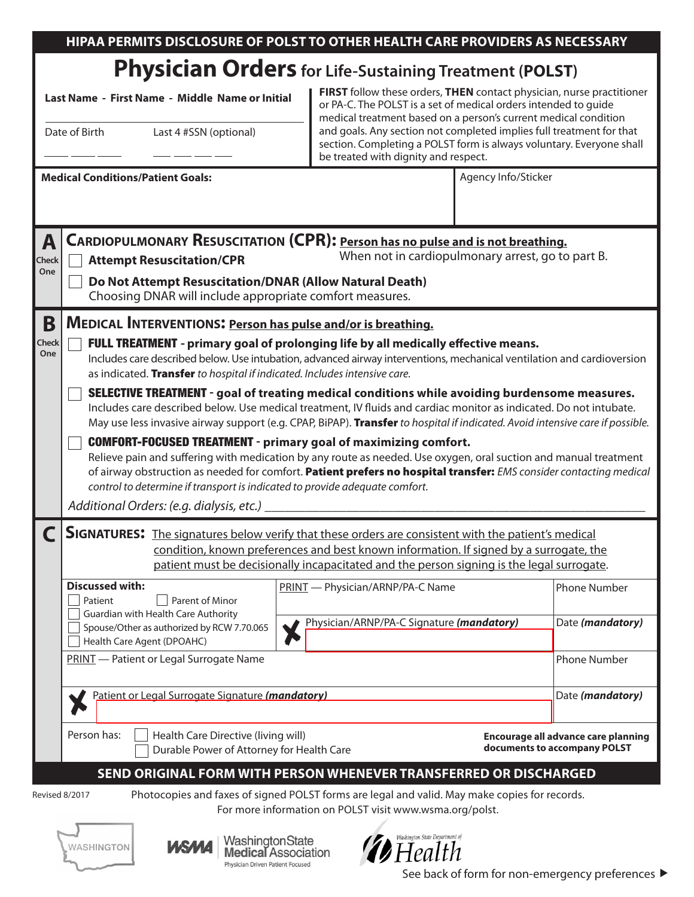| HIPAA PERMITS DISCLOSURE OF POLST TO OTHER HEALTH CARE PROVIDERS AS NECESSARY |
|-------------------------------------------------------------------------------|
|                                                                               |

## **Physician Orders for Life-Sustaining Treatment (POLST)**

**Last Name - First Name - Middle Name or Initial**

Date of Birth Last 4 #SSN (optional)

**FIRST** follow these orders, **THEN** contact physician, nurse practitioner or PA-C. The POLST is a set of medical orders intended to guide medical treatment based on a person's current medical condition and goals. Any section not completed implies full treatment for that section. Completing a POLST form is always voluntary. Everyone shall be treated with dignity and respect.

|                                                         |                                                                                                                                                                                                                                                                                                                                                                                                                                                                                                                                                                                                                                                                                                                                                                                                                                                                                                                                                                                                                                                                                                                                                                           |  | be treated with dignity and respect.                                                                                                                                                                                                                                 |                     |                                                                     |  |  |  |  |  |
|---------------------------------------------------------|---------------------------------------------------------------------------------------------------------------------------------------------------------------------------------------------------------------------------------------------------------------------------------------------------------------------------------------------------------------------------------------------------------------------------------------------------------------------------------------------------------------------------------------------------------------------------------------------------------------------------------------------------------------------------------------------------------------------------------------------------------------------------------------------------------------------------------------------------------------------------------------------------------------------------------------------------------------------------------------------------------------------------------------------------------------------------------------------------------------------------------------------------------------------------|--|----------------------------------------------------------------------------------------------------------------------------------------------------------------------------------------------------------------------------------------------------------------------|---------------------|---------------------------------------------------------------------|--|--|--|--|--|
|                                                         | <b>Medical Conditions/Patient Goals:</b>                                                                                                                                                                                                                                                                                                                                                                                                                                                                                                                                                                                                                                                                                                                                                                                                                                                                                                                                                                                                                                                                                                                                  |  |                                                                                                                                                                                                                                                                      | Agency Info/Sticker |                                                                     |  |  |  |  |  |
| A<br><b>Check</b><br>One                                | <b>CARDIOPULMONARY RESUSCITATION (CPR): Person has no pulse and is not breathing.</b><br>When not in cardiopulmonary arrest, go to part B.<br><b>Attempt Resuscitation/CPR</b><br>Do Not Attempt Resuscitation/DNAR (Allow Natural Death)<br>Choosing DNAR will include appropriate comfort measures.                                                                                                                                                                                                                                                                                                                                                                                                                                                                                                                                                                                                                                                                                                                                                                                                                                                                     |  |                                                                                                                                                                                                                                                                      |                     |                                                                     |  |  |  |  |  |
| B<br>Check<br>One                                       | MEDICAL INTERVENTIONS: Person has pulse and/or is breathing.<br>FULL TREATMENT - primary goal of prolonging life by all medically effective means.<br>Includes care described below. Use intubation, advanced airway interventions, mechanical ventilation and cardioversion<br>as indicated. Transfer to hospital if indicated. Includes intensive care.<br><b>SELECTIVE TREATMENT</b> - goal of treating medical conditions while avoiding burdensome measures.<br>Includes care described below. Use medical treatment, IV fluids and cardiac monitor as indicated. Do not intubate.<br>May use less invasive airway support (e.g. CPAP, BiPAP). Transfer to hospital if indicated. Avoid intensive care if possible.<br><b>COMFORT-FOCUSED TREATMENT - primary goal of maximizing comfort.</b><br>Relieve pain and suffering with medication by any route as needed. Use oxygen, oral suction and manual treatment<br>of airway obstruction as needed for comfort. Patient prefers no hospital transfer: EMS consider contacting medical<br>control to determine if transport is indicated to provide adequate comfort.<br>Additional Orders: (e.g. dialysis, etc.) _ |  |                                                                                                                                                                                                                                                                      |                     |                                                                     |  |  |  |  |  |
|                                                         | <b>SIGNATURES:</b> The signatures below verify that these orders are consistent with the patient's medical<br><b>Discussed with:</b><br>Patient<br>Parent of Minor<br>Guardian with Health Care Authority<br>Spouse/Other as authorized by RCW 7.70.065<br>Health Care Agent (DPOAHC)                                                                                                                                                                                                                                                                                                                                                                                                                                                                                                                                                                                                                                                                                                                                                                                                                                                                                     |  | condition, known preferences and best known information. If signed by a surrogate, the<br>patient must be decisionally incapacitated and the person signing is the legal surrogate.<br>PRINT - Physician/ARNP/PA-C Name<br>Physician/ARNP/PA-C Signature (mandatory) |                     | <b>Phone Number</b><br>Date (mandatory)                             |  |  |  |  |  |
|                                                         | PRINT - Patient or Legal Surrogate Name<br>Patient or Legal Surrogate Signature (mandatory)                                                                                                                                                                                                                                                                                                                                                                                                                                                                                                                                                                                                                                                                                                                                                                                                                                                                                                                                                                                                                                                                               |  | <b>Phone Number</b><br>Date (mandatory)                                                                                                                                                                                                                              |                     |                                                                     |  |  |  |  |  |
|                                                         | Person has:<br>Health Care Directive (living will)<br>Durable Power of Attorney for Health Care                                                                                                                                                                                                                                                                                                                                                                                                                                                                                                                                                                                                                                                                                                                                                                                                                                                                                                                                                                                                                                                                           |  |                                                                                                                                                                                                                                                                      |                     | Encourage all advance care planning<br>documents to accompany POLST |  |  |  |  |  |
| Revised 8/2017                                          | SEND ORIGINAL FORM WITH PERSON WHENEVER TRANSFERRED OR DISCHARGED<br>Photocopies and faxes of signed POLST forms are legal and valid. May make copies for records.                                                                                                                                                                                                                                                                                                                                                                                                                                                                                                                                                                                                                                                                                                                                                                                                                                                                                                                                                                                                        |  |                                                                                                                                                                                                                                                                      |                     |                                                                     |  |  |  |  |  |
| For more information on POLST visit www.wsma.org/polst. |                                                                                                                                                                                                                                                                                                                                                                                                                                                                                                                                                                                                                                                                                                                                                                                                                                                                                                                                                                                                                                                                                                                                                                           |  |                                                                                                                                                                                                                                                                      |                     |                                                                     |  |  |  |  |  |





WashingtonState **Medical Association** Physician Driven Patient Focused



See back of form for non-emergency preferences